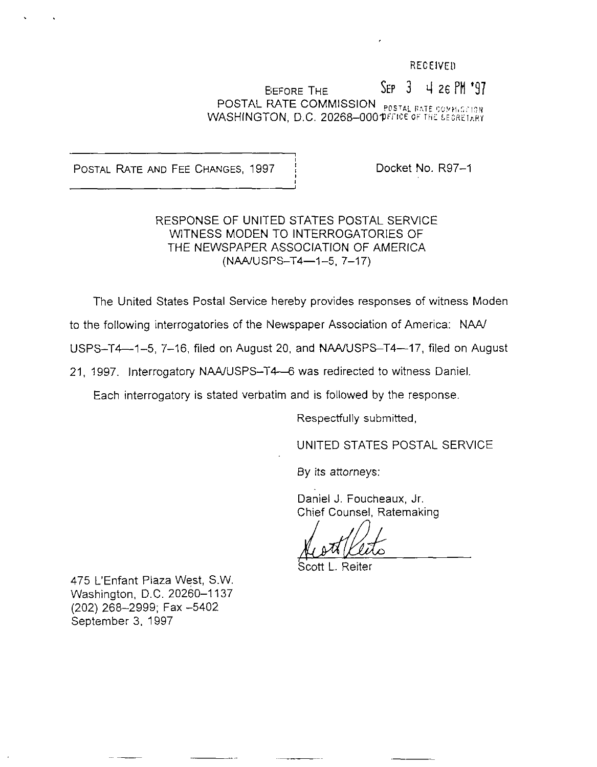### RECElVEll

Before the  $\Sigma$  Sep  $3$  4 26 PM  $^{\bullet}97$ POSTAL RATE COMMISSION  $_{\tt{POSTAL\ RATE\ GGMM15.}}$ WASHINGTON, D.C. 20268-000 PEFICE OF THE SECRETARY

POSTAL RATE AND FEE CHANGES, 1997 | Docket No. R97-1

.

# RESPONSE OF UNITED STATES POSTAL SERVICE WITNESS MODEN TO INTERROGATORIES OF THE NEWSPAPER ASSOCIATION OF AMERICA (NAA/USPS-T4-1-5, 7-17)

The United States Postal Service hereby provides responses of witness Moden

to the following interrogatories of the Newspaper Association of America: NAA/

USPS-T4--1-5, 7-16, filed on August 20, and NAA/USPS-T4--17, filed on August

21, 1997. Interrogatory NAA/USPS-T4-6 was redirected to witness Daniel.

Each interrogatory is stated verbatim and is followed by the response.

Respectfully submitted,

UNITED STATES POSTAL SERVICE

By its attorneys:

Daniel J. Foucheaux, Jr. Chief Counsel, Ratemakinq

Scott L. Reiter

475 L'Enfant Plaza West, SW. Washington, D.C. 20260-I 137 (202) 268-2999; Fax -5402 September 3, 1997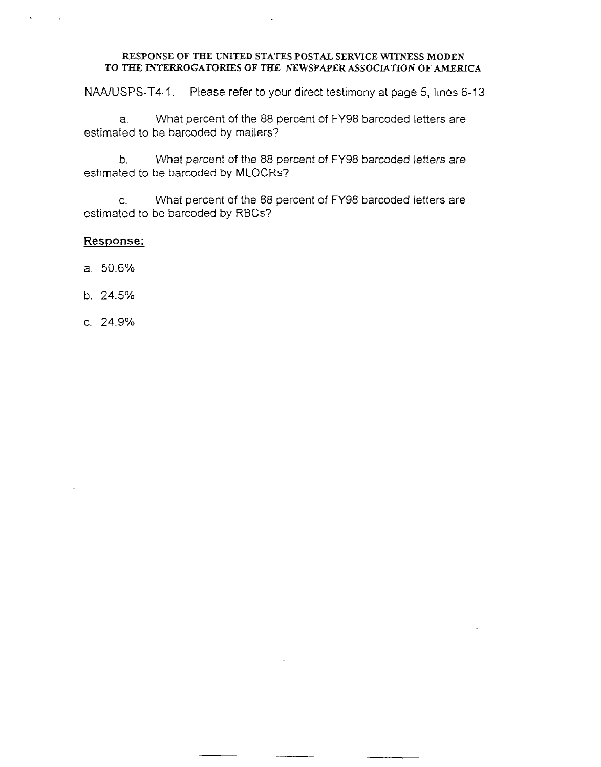NAA/USPS-T4-1. Please refer to your direct testimony at page 5, lines 6-13.

a. What percent of the 88 percent of FY98 barcoded letters are estimated to be barcoded by mailers'?

b. What percent of the 88 percent of FY98 barcoded letters are estimated to be barcoded by MLOCRs?

C. What percent of the 88 percent of FY98 barcoded letters are estimated to be barcoded by RBCs?

- a. 50.6%
- b. 24.5%
- c. 24.9%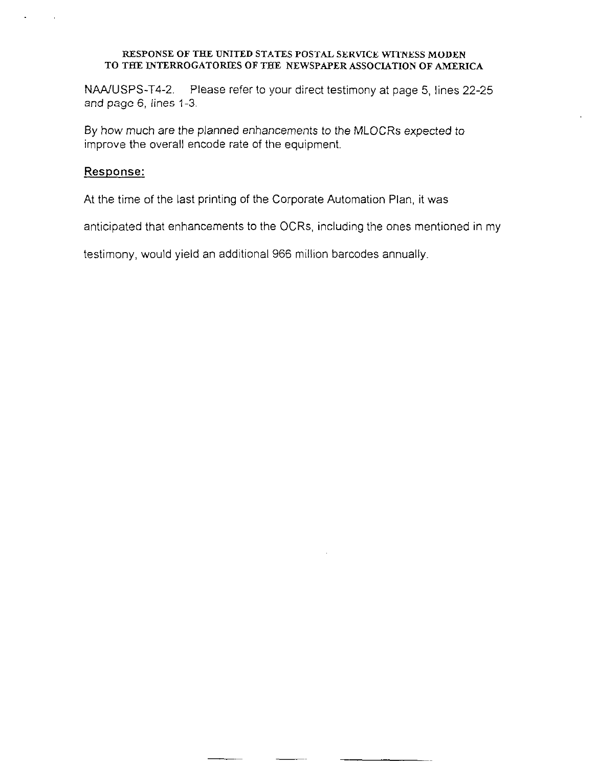NAAJUSPS-T4-2. Please refer to your direct testimony at page 5, lines 22-25 and page 6, lines 1-3.

By how much are the planned enhancements to the MLOCRs expected to improve the overall encode rate of the equipment.

## Response:

At the time of the last printing of the Corporate Automation Plan, it was

anticipated that enhancements to the OCRs, including the ones mentioned in my

testimony, would yield an additional 966 million barcodes annually.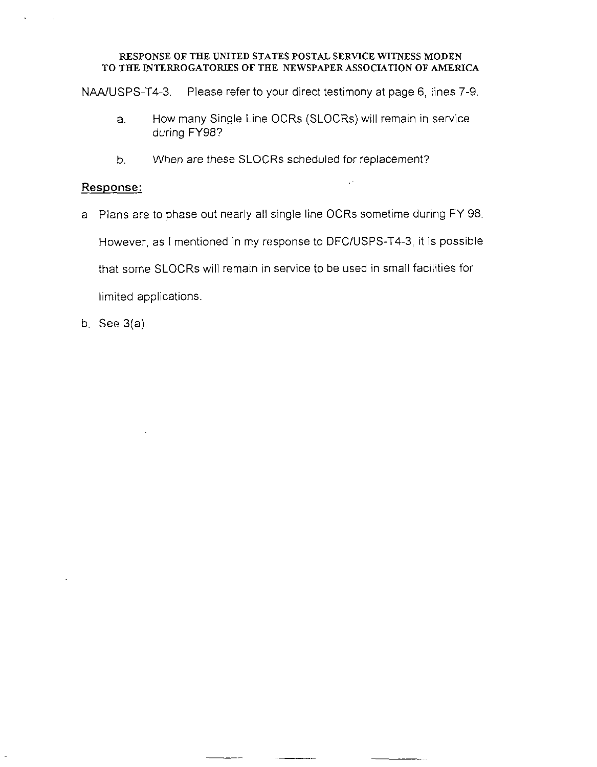NAAIUSPS-T4-3. Please refer to your direct testimony at page 6, lines 7-9.

- a. How many Single Line OCRs (SLOCRs) will remain in service during FY98?
- b. When are these SLOCRs scheduled for replacement?

# Response:

a Plans are to phase out nearly all single line OCRs sometime during FY 98.

However, as I mentioned in my response to DFCIUSPS-T4-3, it is possible

that some SLOCRs will remain in service to be used in small facilities for

limited applications

 $-$ 

b. See 3(a).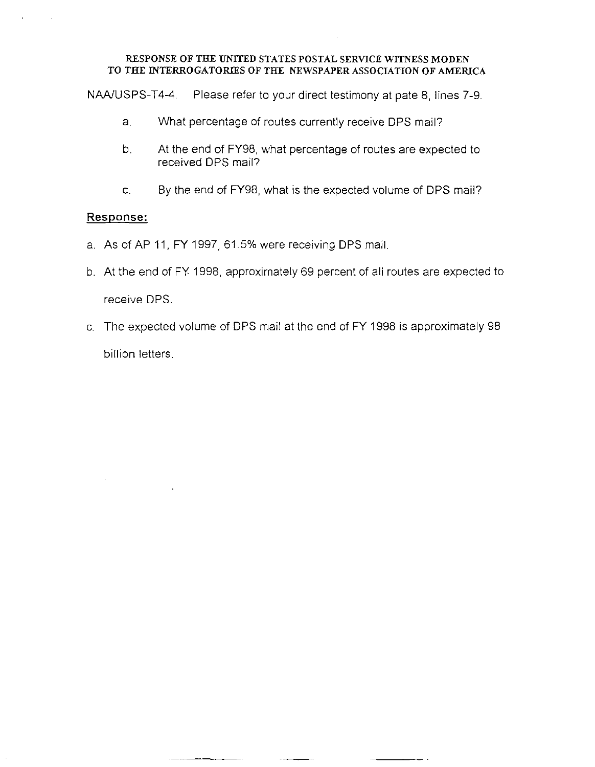NAA/USPS-T4-4. Please refer to your direct testimony at pate 8, lines 7-9.

- a. What percentage of routes currently receive DPS mail?
- b. At the end of FY98, what percentage of routes are expected to received DPS mail?
- C. By the end of FY98, what is the expected volume of DPS mail?

- a. As of AP 11, FY 1997, 61.5% were receiving DPS mail,
- b. At the end of FY 1998, approximately 69 percent of all routes are expected to receive DPS.
- c. The expected volume of DPS mail at the end of FY 1998 is approximately 98 billion letters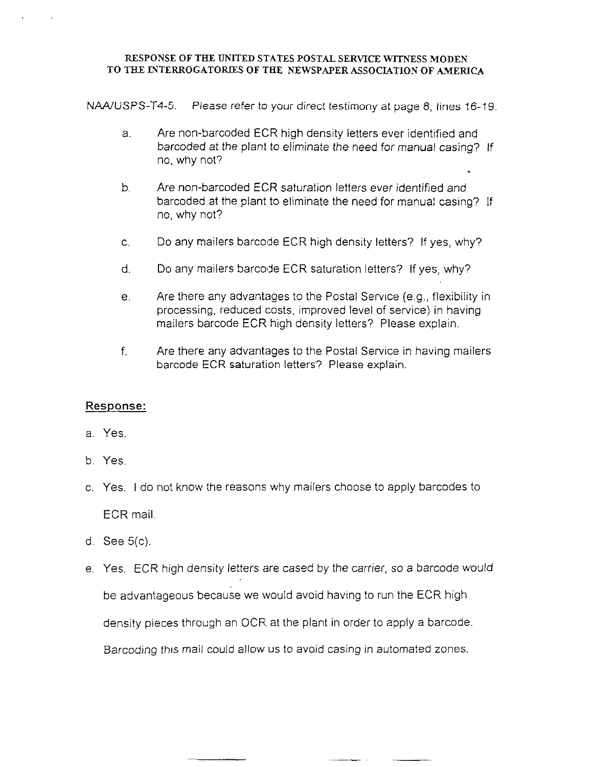NAA/USPS-T4-5. Please refer to your direct testimony at page 8, lines 16-19.

- a. Are non-barcoded ECR high density letters ever identified and barcoded at the plant to eliminate the need for manual casing? If no, why not?
- b. Are non-barcoded ECR saturation letters ever identified and barcoded at the plant to eliminate the need for manual casing? If no, why not?
- c. Do any mailers barcode ECR high density letters? If yes, why?
- d. Do any mailers barcode ECR saturation letters? If yes, why?
- e. Are there any advantages to the Postal Service (e.g., flexibility in processing, reduced costs, improved level of service) in having mailers barcode ECR high density letters? Please explain.
- f. Are there any advantages to the Postal Service in having mailers barcode ECR saturation letters? Please explain.

- a. Yes
- b. Yes.
- c. Yes. I do not know the reasons why mailers choose to apply barcodes to ECR mail
- d. See 5(c),
- e. Yes. ECR high density letters are cased by the carrier, so a barcode would be advantageous because we would avoid having to run the ECR high density pieces through an OCR at the plant in order to apply a barcode Barcoding thus mail could allow us to avoid casing in automated zones.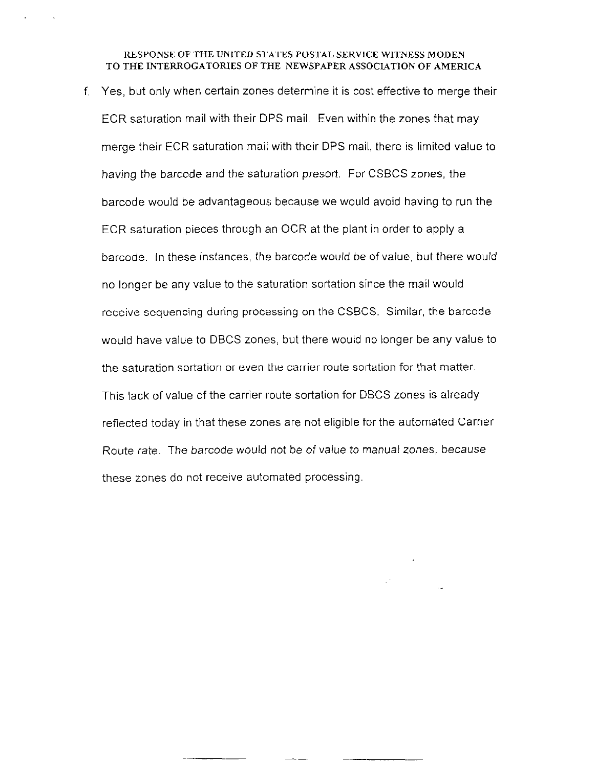f. Yes, but only when certain zones determine it is cost effective to merge their ECR saturation mail with their DPS mail. Even within the zones that may merge their ECR saturation mail with their DPS mail, there is limited value to having the barcode and the saturation presort. For CSBCS zones, the barcode would be advantageous because we would avoid having to run the ECR saturation pieces through an OCR at the plant in order to apply a barcode. In these instances, the barcode would be of value, but there would no longer be any value to the saturation sortation since the mail would receive sequencing during processing on the CSBCS. Similar, the barcode would have value to DBCS zones, but there would no longer be any value to the saturation sortation or even the carrier route sortation for that matter This lack of value of the carrier route sortation for DBCS zones is already reflected today in that these zones are not eligible for the automated Carrier Route rate. The barcode would not be of value to manual zones, because these zones do not receive automated processing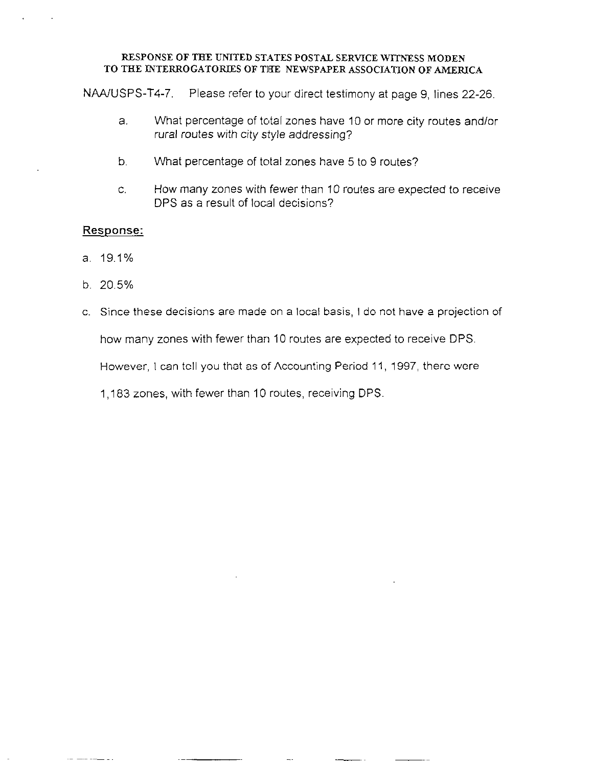NAA/USPS-T4-7. Please refer to your direct testimony at page 9, lines 22-26.

- a. What percentage of total zones have 10 or more city routes and/or rural routes with city style addressing?
- b. What percentage of total zones have 5 to 9 routes?
- C. How many zones with fewer than 10 routes are expected to receive DPS as a result of local decisions?

## Response:

- a. 19.1%
- b. 20.5%
- c. Since these decisions are made on a local basis, I do not have a projection of

how many zones with fewer than 10 routes are expected to receive DPS.

However, I can tell you that as of Accounting Period 11, 1997, there were

1,183 zones, with fewer than 10 routes, receiving DPS.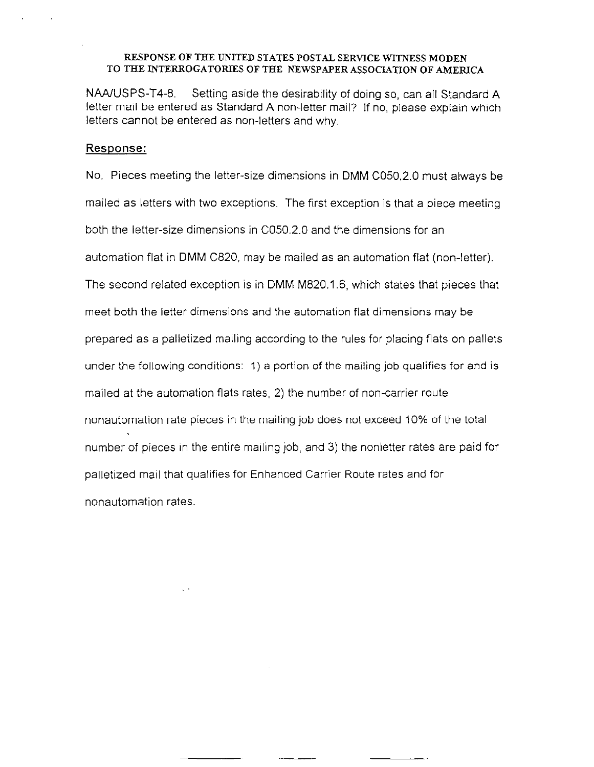NAAfUSPS-T4-8. Setting aside the desirability of doing so, can all Standard A letter mail be entered as Standard A non-letter mail? If no, please explain which letters cannot be entered as non-letters and why.

### Response:

No. Pieces meeting the letter-size dimensions in DMM CO5020 must always be mailed as letters with two exceptions. The first exception is that a piece meeting both the letter-size dimensions in CO50.2.0 and the dimensions for an automation flat in DMM C820, may be mailed as an automation flat (non-letter). The second related exception is in DMM M820.1.6, which states that pieces that meet both the letter dimensions and the automation flat dimensions may be prepared as a palletized mailing according to the rules for placing flats on pallets under the following conditions: 1) a portion of the mailing job qualifies for and is mailed at the automation flats rates,, 2) the number of non-carrier route nonautomation rate pieces in the mailing job does not exceed 10% of the total number of pieces in the entire mailing job, and 3) the nonletter rates are paid for palletized mail that qualifies for Enhanced Carrier Route rates and for nonautomation rates.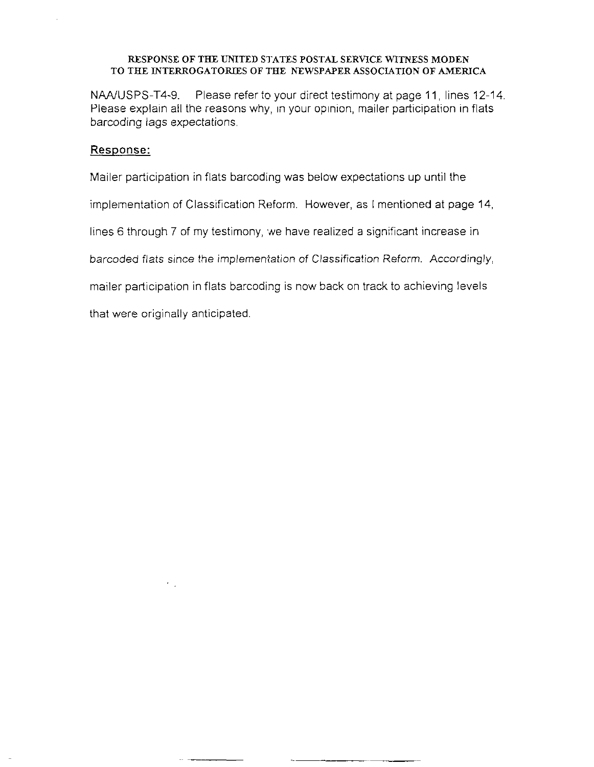NAA/USPS-T4-9. Please refer to your direct testimony at page 11, lines 12-14. Please explain all the reasons why, in your opinion, mailer participation in flats barcoding lags expectations.

## Response:

Mailer participation in flats barcoding was below expectations up until the

implementation of Classification Reform. However, as I mentioned at page 14,

lines 6 through 7 of my testimony, 'we have realized a significant increase in

barcoded flats since the implementation of Classification Reform. Accordingly,

mailer participation in flats barcoding is now back on track to achieving levels

that were originally anticipated

-

 $\epsilon_{\rm{max}}$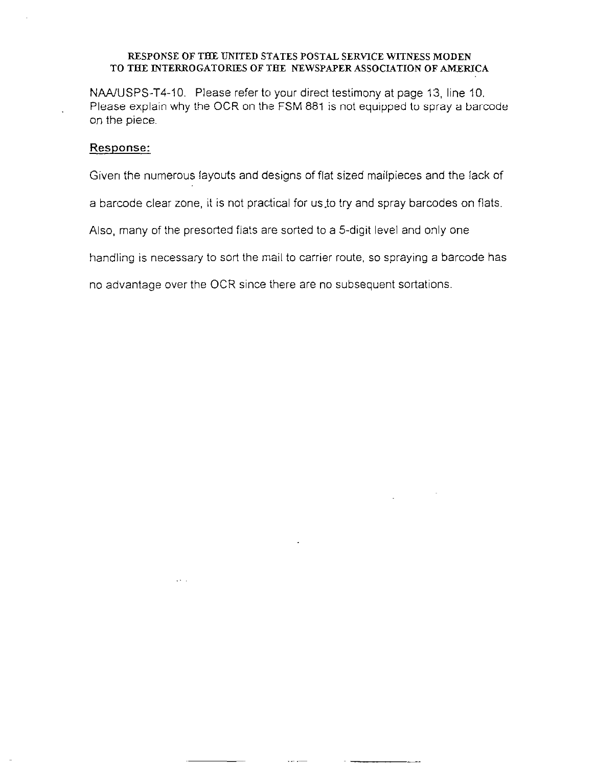NAAIUSPS-T4-10. Please refer to your direct testimony at page 13, line 10. Please explain why the OCR on the FSM 881 is not equipped to spray a barcode on the piece.

## Response:

Given the numerous layouts and designs of flat sized mailpieces and the lack of

a barcode clear zone, it is not practical for us to try and spray barcodes on flats.

Also, many of the presorted flats are sorted to a 5-digit level and only one

handling is necessary to sort the mail to carrier route, so spraying a barcode has

no advantage over the OCR since there are no subsequent sortations.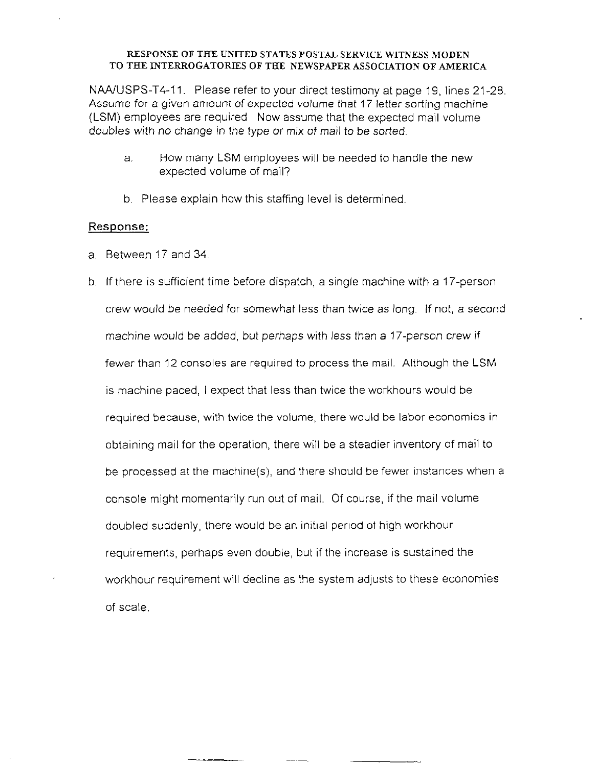NAA/USPS-T4-11. Please refer to your direct testimony at page 19, lines 21-28. Assume for a given amount of expected volume that 17 letter sortinq machine (LSM) employees are required Now assume that the expected mail volume doubles with no change in the type or mix of mail to be sorted.

- a. How many LSM employees will be needed to handle the new expected volume of mail?
- b. Please explain how this staffing level is determined

- a. Between 17 and 34
- b. If there is sufficient time before dispatch, a single machine with a 17-person crew would be needed for somewhat less than twice as long. If not, a second machine would be added, but perhaps with less than a 17-person crew if fewer than 12 consoles are required to process the mail. Although the LSM is machine paced, I expect that less than twice the workhours would be required because, with twice the volume, there would be labor economies in obtaining mail for the operation, there will be a steadier inventory of mail to be processed at the machine(s), and there should be fewer instances when a console might momentarily run out of mail. Of course, if the mail volume doubled suddenly, there would be an initial period of high workhour requirements, perhaps even double, but if the increase is sustained the workhour requirement will decline as the system adjusts to these economies of scale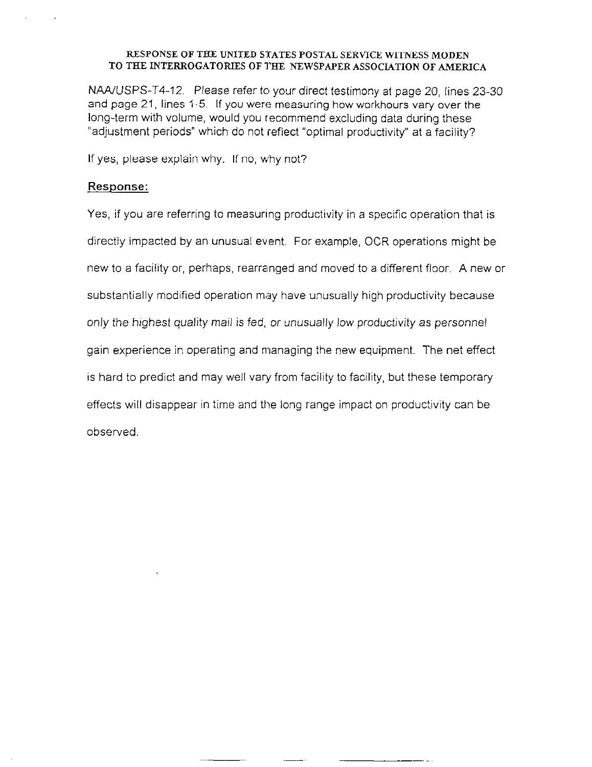NAAJJSPS-T4-12. Please refer to your direct testimony at page 20, lines 23.30 and page 21, lines I-5. If you were measuring how workhours vary over the long-term with volume, would you recommend excluding data during these "adjustment periods" which do not reflect "optimal productivity" at a facility?

If yes, please explain why. If no, why not?

## Response:

Yes, if you are referring to measuring productivity in a specific operation that is directly impacted by an unusual event. For example, OCR operations might be new to a facility or, perhaps, rearranged and moved to a different floor. A new or substantially modified operation may have unusually high productivity because only the highest quality mail is fed, or unusually low productivity as personnel gain experience in, operating and managing the new equipment. The net effect is hard to predict and may well vary from facility to facility, but these temporary effects will disappear in time and the long range impact on productivity can be observed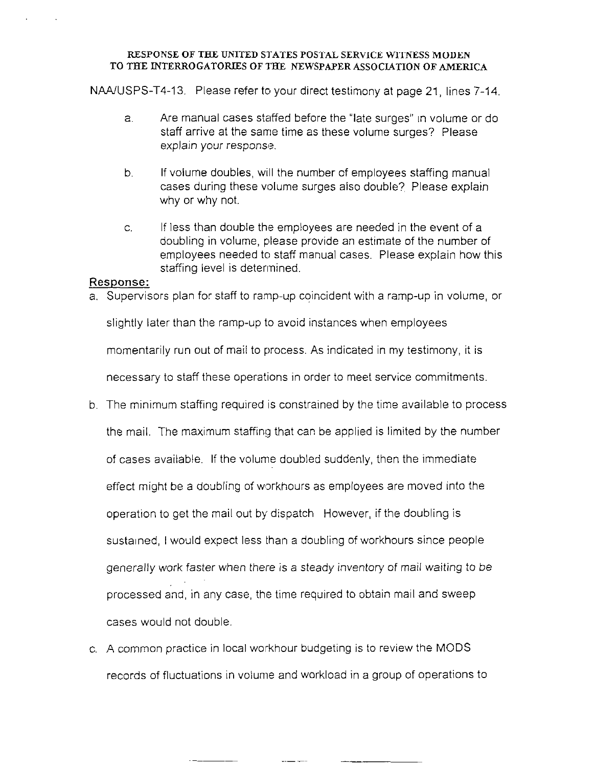NAAJUSPS-T4-13. Please refer to your direct testimony at page 21, lines 7-14.

- a. Are manual cases staffed before the "late surges" In volume or do staff arrive at the same time as these volume surges? Please explain your response.
- b. If volume doubles, will the number of employees staffing manual cases during these volume surges also double?, Please explain why or why not.
- c. If less than double the employees are needed in the event of a doubling in volume, please provide an estimate of the number of employees needed to staff manual cases. Please explain how this staffing level is determined.

## Response:

a. Supervisors plan for staff to ramp-up coincident with a ramp-up in volume, or

slightly later than the ramp-up to avoid instances when employees

momentarily run out of mail to process. As indicated in my testimony, it is

necessary to staff these operations in order to meet service commitments.

- b. The minimum staffing required is constrained by the time available to process the mail. The maximum staffing that can be applied is limited by the number of cases available. If the volume doubled suddenly, then the immediate effect might be a doubling of workhours as employees are moved into the operation to get the mail out by dispatch However, if the doubling is sustarned, I would expect less than a doubling of workhours since people generally work faster when there is a steady inventory of mail waiting to be processed and, in any case, the time required to obtain mail and sweep cases would not double.
- c. A common practice in local workhour budgeting is to review the MODS records of fluctuations in volume and workload in a group of operations to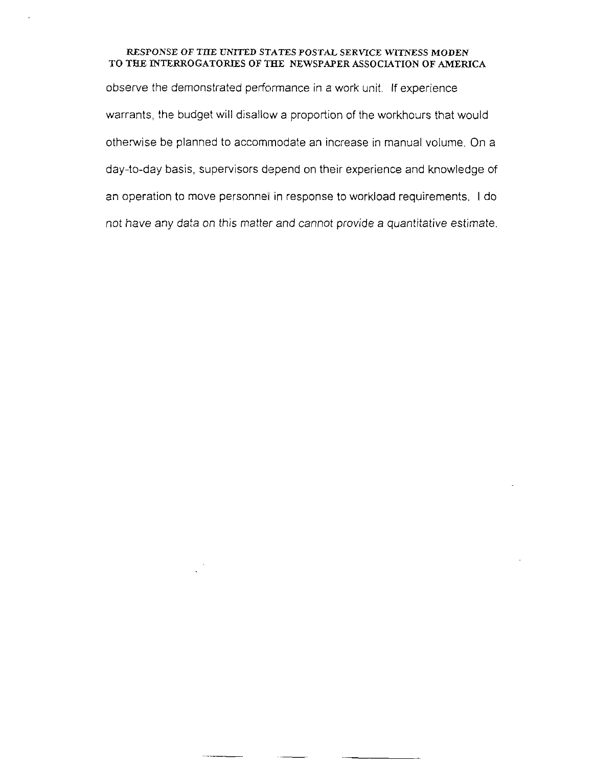observe the demonstrated performance in a work unit, If experience warrants, the budget will disallow a proportion of the workhours that would otherwise be planned to accomlnodate an increase in manual volume. On a day-to-day basis, supervisors depend on their experience and knowledge of an operation to move personnel in response to workload requirements. I do not have any data on this matter and cannot provide a quantitative estimate.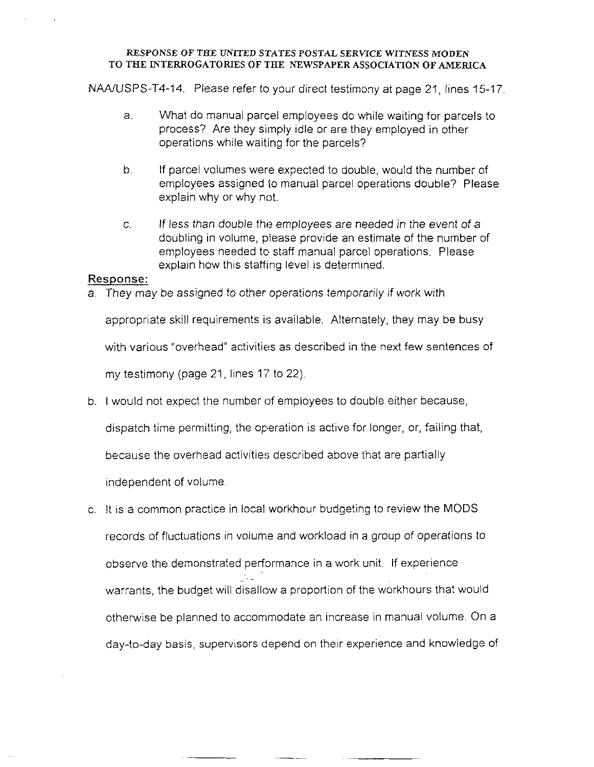NAA/USPS-T4-14. Please refer to your direct testimony at page 21, lines 15-17.

- a. What do manual parcel employees do while waiting for parcels to process? Are they simply idle or are they employed in other operations while waiting for the parcels?
- b. If parcel volumes were expected to double, would the number of employees assigned to manual parcel operations double? Please explain why or why not.
- C. If less than double the employees are needed in the event of a doubling in volume, please provide an estimate of the number of employees needed to staff manual parcel operations. Please explain how this staffing level is determined.

## Response:

a. They may be assigned to other operations temporarily if work with

appropriate skill requirements is available. Alternately, they may be busy

with various "overhead" activities as described in the next few sentences of

my testimony (page 21, lines 17 to 22)

b. I would not expect the number of employees to double either because,

dispatch time permitting, the operation is active for longer, or, failing that,

because the overhead activities described above that are partially

independent of volume

-

c. It is a common practice in local workhour budgeting to review the MODS records of fluctuations in volume and workload in a group of operations to observe the demonstrated performance in a work unit. If experience ,\_ . warrants, the budget will disallow a proportion of the workhours that would otherwise be planned to accommodate an increase in manual volume. On a day-to-day basis, supervisors depend on their experience and knowledge of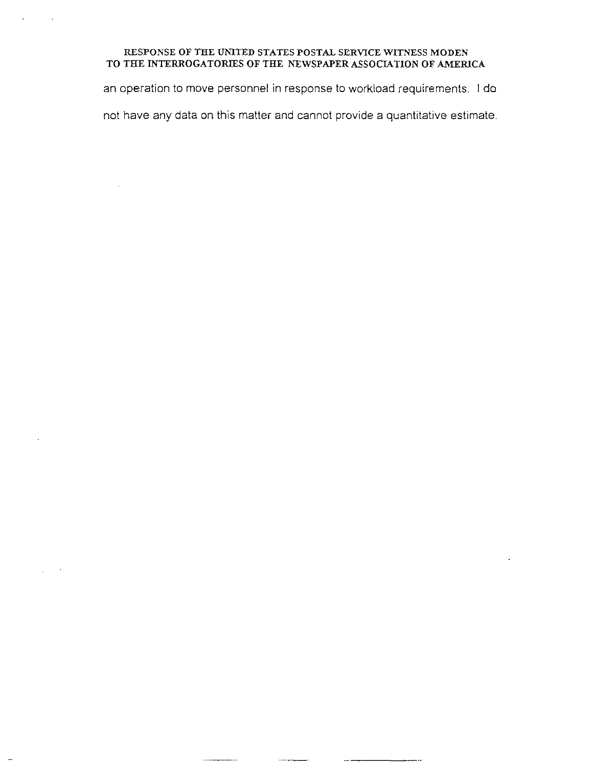an operation to move personnel in response to workload requirements. I do

not have any data on this matter and cannot provide a quantitative estimate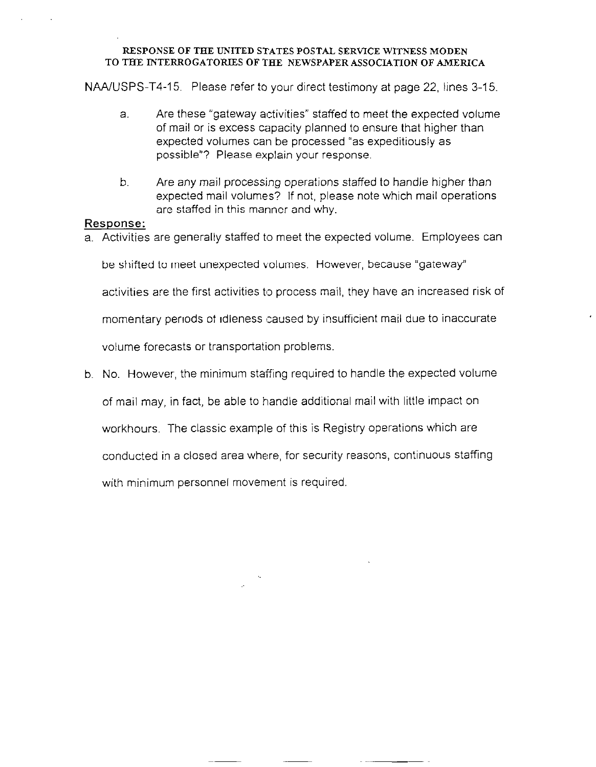NAA/USPS-T4-15. Please refer to your direct testimony at page 22, lines 3-15.

- a. Are these "gateway activities" staffed to meet the expected volume of mail or is excess capacity planned to ensure that higher than expected volumes can be processed "as expeditiously as possible"? Please explain your response.
- b. Are any mail processing operations staffed to handle higher than expected mail volumes? If not, please note which mail operations are staffed in this manner and why.

## Response:

a. Activities are generally staffed to meet the expected volume. Employees can

be shifted to meet unexpected volumes. However, because "gateway"

activities are the first activities to process mail, they have an increased risk of

momentary periods of idleness caused by insufficient mail due to inaccurate

volume forecasts or transportation problems

b. No. However, the minimum staffing required to handle the expected volume

of mail may, in fact, be able to handle additional mail with little impact on

workhours. The classic example of this is Registry operations which are

conducted in a closed area where, for security reasons, continuous staffing

with minimum personnel movement is required.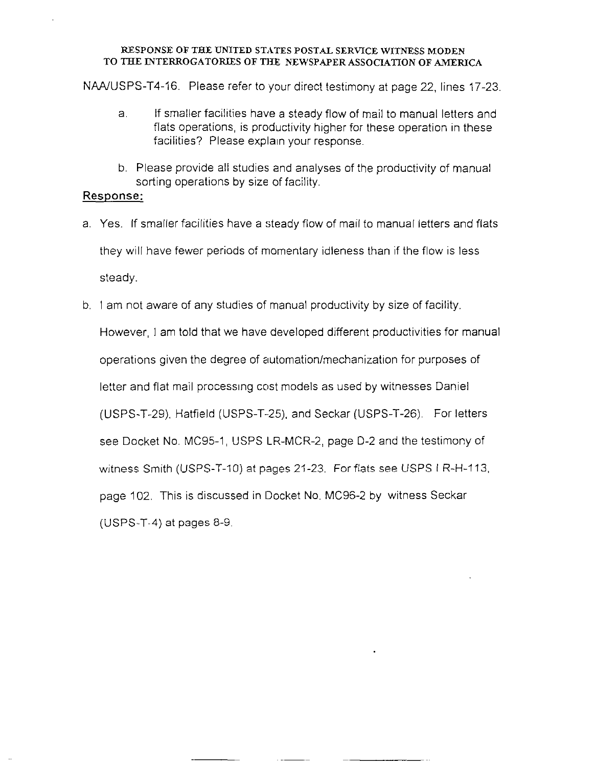NAA/USPS-T4-16. Please refer to your direct testimony at page 22, lines 17-23.

- a. If smaller facilities have a steady flow of mail to manual letters and flats operations, is productivity higher for these operation in these facilities? Please explain your response.
- b. Please provide all studies and analyses of the productivity of manual sorting operations by size of facility.

- a. Yes. If smaller facilities have a steady flow of mail to manual letters and flats they will have fewer periods of momentary idleness than if the flow is less steady
- b. I am not aware of any studies of manual productivity by size of facility. However, I am told that we have developed different productivities for manual operations given the degree of automation/mechanization for purposes of letter and flat mail processrng cost models as used by witnesses Daniel (USPS-T-29), Hatfield (USPS-T-25), and Seckar (USPS-T-26). For letters see Docket No. MC95-1, USPS LR-MCR-2, page D-2 and the testimony of witness Smith (USPS-T-IO) at pages 21-23. For flats see USPS LR-H-113, page 102. This is discussed in IDocket No. MC96-2 by witness Seckar (USPS-T-4) at pages 8-9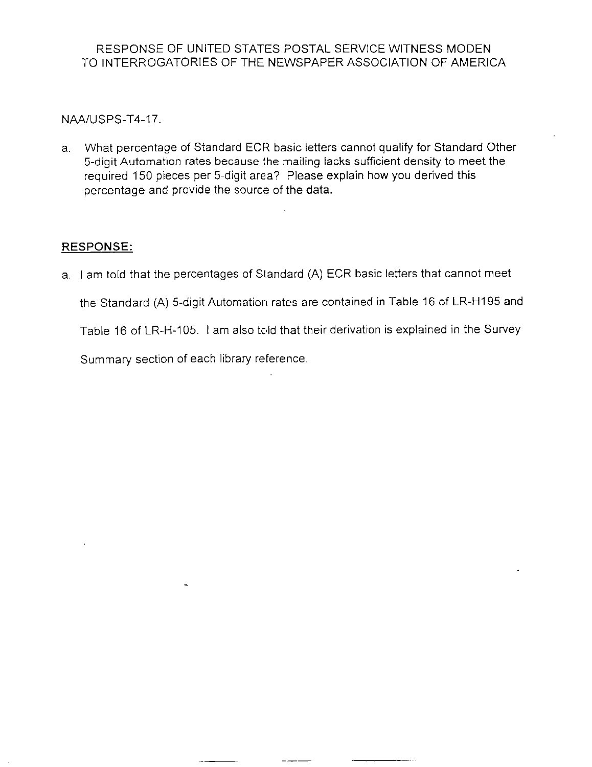NAA/USPS-T4-17.

a. What percentage of Standard ECR basic letters cannot qualify for Standard Other 5-digit Automation rates because the mailing lacks sufficient density to meet the required 150 pieces per 5-digit area? Please explain how you derived this percentage and provide the source of the data.

# RESPONSE:

a. I am told that the percentages of Standard (A) ECR basic letters that cannot meet the Standard (A) 5-digit Automation rates are contained in Table 16 of LR-HI95 and Table 16 of LR-H-105. I am also told that their derivation is explained in the Survey Summary section of each library reference.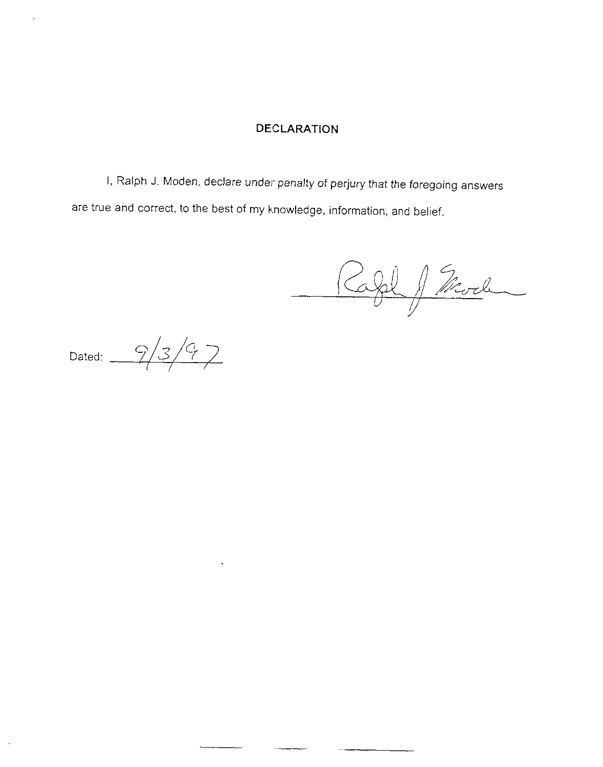## DECLARATION

I, Ralph J. Moden, declare under penalty of perjury that the foregoing answers are true and correct, to the best of my knowledge, information, and belief.

 $\sim$ 

Rafel J Mode

Dated:  $\frac{9}{3}/9$ 

 $\hat{\boldsymbol{\beta}}$